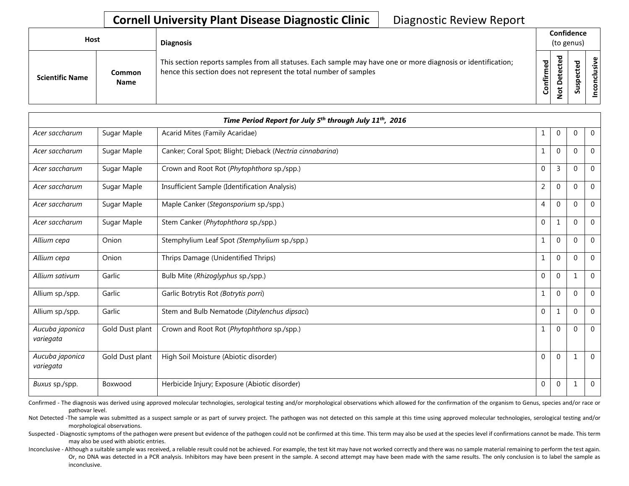|                        | <b>Host</b><br><b>Diagnosis</b> |                                                                                                                                                                                    |                   | Confidence<br>(to genus)                        |        |                             |  |
|------------------------|---------------------------------|------------------------------------------------------------------------------------------------------------------------------------------------------------------------------------|-------------------|-------------------------------------------------|--------|-----------------------------|--|
| <b>Scientific Name</b> | Common<br><b>Name</b>           | This section reports samples from all statuses. Each sample may have one or more diagnosis or identification;<br>hence this section does not represent the total number of samples | ▿<br>Φ<br>Confirm | ᇃ<br>ω<br>ಕ<br>ω<br>ى<br>Φ<br>۵<br>ى<br>$\circ$ | ᇃ<br>S | $\mathbf \omega$<br>≤.<br>š |  |

|                              | Time Period Report for July 5 <sup>th</sup> through July 11 <sup>th</sup> , 2016 |                                                           |                  |                |              |                |  |  |
|------------------------------|----------------------------------------------------------------------------------|-----------------------------------------------------------|------------------|----------------|--------------|----------------|--|--|
| Acer saccharum               | Sugar Maple                                                                      | Acarid Mites (Family Acaridae)                            | $\mathbf 1$      | $\overline{0}$ | $\mathbf{0}$ | $\mathbf 0$    |  |  |
| Acer saccharum               | Sugar Maple                                                                      | Canker; Coral Spot; Blight; Dieback (Nectria cinnabarina) | 1                | $\overline{0}$ | $\mathbf{0}$ | $\mathbf 0$    |  |  |
| Acer saccharum               | Sugar Maple                                                                      | Crown and Root Rot (Phytophthora sp./spp.)                | $\pmb{0}$        | 3              | $\Omega$     | $\mathbf 0$    |  |  |
| Acer saccharum               | Sugar Maple                                                                      | Insufficient Sample (Identification Analysis)             | $\overline{2}$   | $\overline{0}$ | $\mathbf{0}$ | $\mathbf 0$    |  |  |
| Acer saccharum               | Sugar Maple                                                                      | Maple Canker (Stegonsporium sp./spp.)                     | $\overline{4}$   | $\mathbf{0}$   | $\mathbf{0}$ | $\mathbf 0$    |  |  |
| Acer saccharum               | Sugar Maple                                                                      | Stem Canker (Phytophthora sp./spp.)                       | $\mathbf 0$      | 1              | $\Omega$     | $\Omega$       |  |  |
| Allium cepa                  | Onion                                                                            | Stemphylium Leaf Spot (Stemphylium sp./spp.)              | $\mathbf{1}$     | $\overline{0}$ | $\mathbf{0}$ | $\mathbf 0$    |  |  |
| Allium cepa                  | Onion                                                                            | Thrips Damage (Unidentified Thrips)                       | 1                | $\overline{0}$ | $\mathbf{0}$ | $\mathbf 0$    |  |  |
| Allium sativum               | Garlic                                                                           | Bulb Mite (Rhizoglyphus sp./spp.)                         | $\mathbf{0}$     | $\overline{0}$ | 1            | $\mathbf 0$    |  |  |
| Allium sp./spp.              | Garlic                                                                           | Garlic Botrytis Rot (Botrytis porri)                      | $\mathbf{1}$     | $\Omega$       | $\mathbf{0}$ | $\Omega$       |  |  |
| Allium sp./spp.              | Garlic                                                                           | Stem and Bulb Nematode (Ditylenchus dipsaci)              | $\boldsymbol{0}$ | 1              | $\Omega$     | $\Omega$       |  |  |
| Aucuba japonica<br>variegata | Gold Dust plant                                                                  | Crown and Root Rot (Phytophthora sp./spp.)                | 1                | $\overline{0}$ | $\mathbf{0}$ | $\overline{0}$ |  |  |
| Aucuba japonica<br>variegata | Gold Dust plant                                                                  | High Soil Moisture (Abiotic disorder)                     | $\pmb{0}$        | 0              | 1            | $\Omega$       |  |  |
| Buxus sp./spp.               | Boxwood                                                                          | Herbicide Injury; Exposure (Abiotic disorder)             | $\pmb{0}$        | 0              | 1            | $\mathbf 0$    |  |  |

Confirmed - The diagnosis was derived using approved molecular technologies, serological testing and/or morphological observations which allowed for the confirmation of the organism to Genus, species and/or race or pathovar level.

Not Detected -The sample was submitted as a suspect sample or as part of survey project. The pathogen was not detected on this sample at this time using approved molecular technologies, serological testing and/or morphological observations.

Suspected - Diagnostic symptoms of the pathogen were present but evidence of the pathogen could not be confirmed at this time. This term may also be used at the species level if confirmations cannot be made. This term may also be used with abiotic entries.

Inconclusive - Although a suitable sample was received, a reliable result could not be achieved. For example, the test kit may have not worked correctly and there was no sample material remaining to perform the test again. Or, no DNA was detected in a PCR analysis. Inhibitors may have been present in the sample. A second attempt may have been made with the same results. The only conclusion is to label the sample as inconclusive.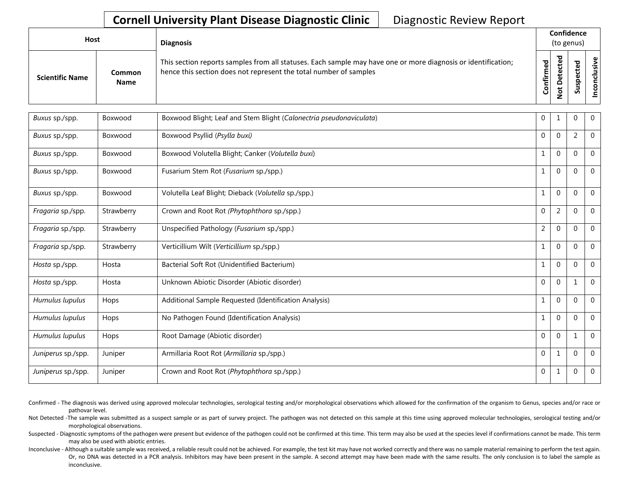| Host                   |                       | <b>Diagnosis</b>                                                                                                                                                                   |                   | Confidence<br>(to genus) |          |                 |
|------------------------|-----------------------|------------------------------------------------------------------------------------------------------------------------------------------------------------------------------------|-------------------|--------------------------|----------|-----------------|
| <b>Scientific Name</b> | Common<br><b>Name</b> | This section reports samples from all statuses. Each sample may have one or more diagnosis or identification;<br>hence this section does not represent the total number of samples | ಕ<br>Ō<br>Confirm | ᇃ                        | <b>i</b> | usive<br>ဒ<br>- |

| Buxus sp./spp.     | Boxwood    | Boxwood Blight; Leaf and Stem Blight (Calonectria pseudonaviculata) | $\mathbf 0$    | 1              | 0              | $\mathbf 0$  |
|--------------------|------------|---------------------------------------------------------------------|----------------|----------------|----------------|--------------|
| Buxus sp./spp.     | Boxwood    | Boxwood Psyllid (Psylla buxi)                                       | $\mathbf 0$    | $\mathbf 0$    | $\overline{2}$ | $\mathbf 0$  |
| Buxus sp./spp.     | Boxwood    | Boxwood Volutella Blight; Canker (Volutella buxi)                   | $\mathbf{1}$   | $\Omega$       | $\mathbf{0}$   | $\mathbf 0$  |
| Buxus sp./spp.     | Boxwood    | Fusarium Stem Rot (Fusarium sp./spp.)                               | $\mathbf{1}$   | $\mathbf{0}$   | 0              | $\mathbf 0$  |
| Buxus sp./spp.     | Boxwood    | Volutella Leaf Blight; Dieback (Volutella sp./spp.)                 | $\mathbf{1}$   | $\mathbf 0$    | $\mathbf{0}$   | $\mathbf 0$  |
| Fragaria sp./spp.  | Strawberry | Crown and Root Rot (Phytophthora sp./spp.)                          | $\mathbf 0$    | $\overline{2}$ | $\mathbf{0}$   | $\mathbf{0}$ |
| Fragaria sp./spp.  | Strawberry | Unspecified Pathology (Fusarium sp./spp.)                           | $\overline{2}$ | $\mathbf 0$    | $\Omega$       | $\mathbf 0$  |
| Fragaria sp./spp.  | Strawberry | Verticillium Wilt (Verticillium sp./spp.)                           | $\mathbf{1}$   | $\Omega$       | $\Omega$       | $\mathbf{0}$ |
| Hosta sp./spp.     | Hosta      | Bacterial Soft Rot (Unidentified Bacterium)                         | $\mathbf{1}$   | $\mathbf 0$    | $\mathbf{0}$   | $\mathbf 0$  |
| Hosta sp./spp.     | Hosta      | Unknown Abiotic Disorder (Abiotic disorder)                         | $\mathbf 0$    | $\Omega$       | $\mathbf{1}$   | $\mathbf{0}$ |
| Humulus lupulus    | Hops       | Additional Sample Requested (Identification Analysis)               | $\mathbf{1}$   | $\mathbf 0$    | $\Omega$       | $\mathbf 0$  |
| Humulus lupulus    | Hops       | No Pathogen Found (Identification Analysis)                         | $\mathbf{1}$   | $\Omega$       | $\Omega$       | $\Omega$     |
| Humulus lupulus    | Hops       | Root Damage (Abiotic disorder)                                      | $\mathbf 0$    | $\mathbf{0}$   | $\mathbf 1$    | $\mathbf 0$  |
| Juniperus sp./spp. | Juniper    | Armillaria Root Rot (Armillaria sp./spp.)                           | $\mathbf 0$    | $1\,$          | $\Omega$       | $\mathbf 0$  |
| Juniperus sp./spp. | Juniper    | Crown and Root Rot (Phytophthora sp./spp.)                          | $\mathbf 0$    | 1              | 0              | $\mathbf{0}$ |

Confirmed - The diagnosis was derived using approved molecular technologies, serological testing and/or morphological observations which allowed for the confirmation of the organism to Genus, species and/or race or pathovar level.

Not Detected -The sample was submitted as a suspect sample or as part of survey project. The pathogen was not detected on this sample at this time using approved molecular technologies, serological testing and/or morphological observations.

Suspected - Diagnostic symptoms of the pathogen were present but evidence of the pathogen could not be confirmed at this time. This term may also be used at the species level if confirmations cannot be made. This term may also be used with abiotic entries.

Inconclusive - Although a suitable sample was received, a reliable result could not be achieved. For example, the test kit may have not worked correctly and there was no sample material remaining to perform the test again. Or, no DNA was detected in a PCR analysis. Inhibitors may have been present in the sample. A second attempt may have been made with the same results. The only conclusion is to label the sample as inconclusive.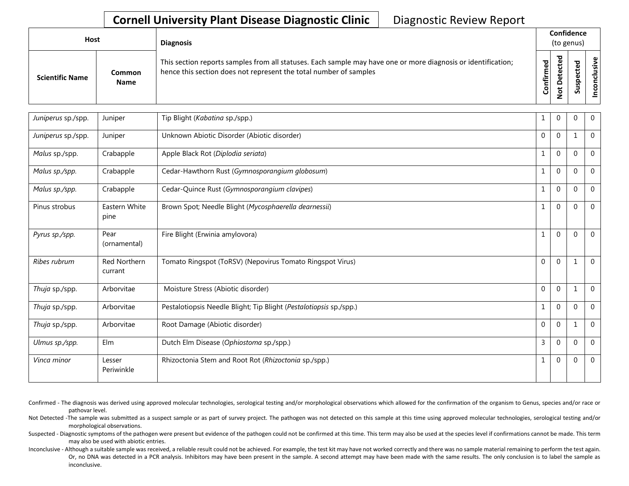| Host                   |                       | <b>Diagnosis</b>                                                                                                                                                                   |  | Confidence<br>(to genus)<br>ᇃ<br>$\mathbf{\omega}$<br>ිත<br>ම<br>ъ<br>ω<br>$\overline{\mathbf{a}}$<br>nfirm<br>요<br>o<br>w<br>$\circ$<br>පි<br>ں |  |  |  |  |  |
|------------------------|-----------------------|------------------------------------------------------------------------------------------------------------------------------------------------------------------------------------|--|--------------------------------------------------------------------------------------------------------------------------------------------------|--|--|--|--|--|
| <b>Scientific Name</b> | Common<br><b>Name</b> | This section reports samples from all statuses. Each sample may have one or more diagnosis or identification;<br>hence this section does not represent the total number of samples |  |                                                                                                                                                  |  |  |  |  |  |

| Juniperus sp./spp. | Juniper                 | Tip Blight (Kabatina sp./spp.)                                     | 1            | $\Omega$     | $\Omega$    | $\Omega$ |
|--------------------|-------------------------|--------------------------------------------------------------------|--------------|--------------|-------------|----------|
| Juniperus sp./spp. | Juniper                 | Unknown Abiotic Disorder (Abiotic disorder)                        | $\Omega$     | $\Omega$     | 1           | $\Omega$ |
| Malus sp./spp.     | Crabapple               | Apple Black Rot (Diplodia seriata)                                 | $\mathbf{1}$ | $\mathbf{0}$ | $\Omega$    | $\Omega$ |
| Malus sp./spp.     | Crabapple               | Cedar-Hawthorn Rust (Gymnosporangium globosum)                     | $\mathbf{1}$ | $\Omega$     | $\Omega$    | $\Omega$ |
| Malus sp./spp.     | Crabapple               | Cedar-Quince Rust (Gymnosporangium clavipes)                       | $\mathbf{1}$ | $\Omega$     | $\Omega$    | $\Omega$ |
| Pinus strobus      | Eastern White<br>pine   | Brown Spot; Needle Blight (Mycosphaerella dearnessii)              | $\mathbf{1}$ | $\Omega$     | $\Omega$    | $\Omega$ |
| Pyrus sp./spp.     | Pear<br>(ornamental)    | Fire Blight (Erwinia amylovora)                                    | $\mathbf{1}$ | $\mathbf{0}$ | $\Omega$    | $\Omega$ |
| Ribes rubrum       | Red Northern<br>currant | Tomato Ringspot (ToRSV) (Nepovirus Tomato Ringspot Virus)          | $\mathbf 0$  | $\Omega$     | 1           | $\Omega$ |
| Thuja sp./spp.     | Arborvitae              | Moisture Stress (Abiotic disorder)                                 | $\mathbf 0$  | $\Omega$     | 1           | $\Omega$ |
| Thuja sp./spp.     | Arborvitae              | Pestalotiopsis Needle Blight; Tip Blight (Pestalotiopsis sp./spp.) | $\mathbf{1}$ | $\Omega$     | $\Omega$    | $\Omega$ |
| Thuja sp./spp.     | Arborvitae              | Root Damage (Abiotic disorder)                                     | $\mathbf 0$  | $\Omega$     | 1           | $\Omega$ |
| Ulmus sp./spp.     | Elm                     | Dutch Elm Disease (Ophiostoma sp./spp.)                            | 3            | $\Omega$     | $\Omega$    | $\Omega$ |
| Vinca minor        | Lesser<br>Periwinkle    | Rhizoctonia Stem and Root Rot (Rhizoctonia sp./spp.)               | $\mathbf{1}$ | $\Omega$     | $\mathbf 0$ | $\Omega$ |

Confirmed - The diagnosis was derived using approved molecular technologies, serological testing and/or morphological observations which allowed for the confirmation of the organism to Genus, species and/or race or pathovar level.

Not Detected -The sample was submitted as a suspect sample or as part of survey project. The pathogen was not detected on this sample at this time using approved molecular technologies, serological testing and/or morphological observations.

Suspected - Diagnostic symptoms of the pathogen were present but evidence of the pathogen could not be confirmed at this time. This term may also be used at the species level if confirmations cannot be made. This term may also be used with abiotic entries.

Inconclusive - Although a suitable sample was received, a reliable result could not be achieved. For example, the test kit may have not worked correctly and there was no sample material remaining to perform the test again. Or, no DNA was detected in a PCR analysis. Inhibitors may have been present in the sample. A second attempt may have been made with the same results. The only conclusion is to label the sample as inconclusive.